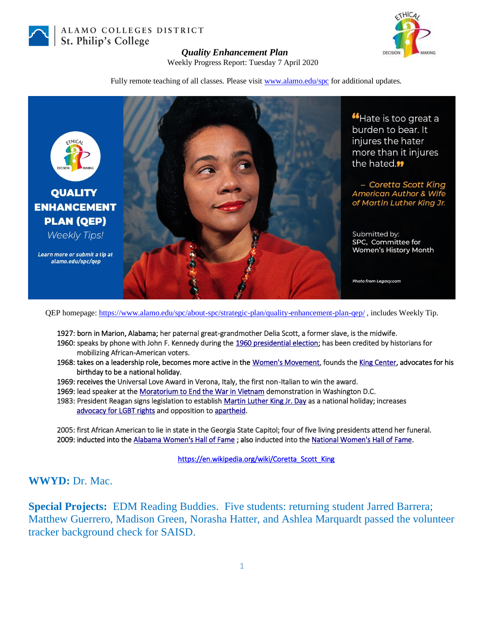

ALAMO COLLEGES DISTRICT St. Philip's College



## *Quality Enhancement Plan*

Weekly Progress Report: Tuesday 7 April 2020

Fully remote teaching of all classes. Please visit [www.alamo.edu/spc](https://mail.alamo.edu/owa/redir.aspx?C=0RYlCqievwdtcsDmAA0Mm2kYSEKf2q5gGF1os6MJA2nvyBDS0szXCA..&URL=http%3a%2f%2fwww.alamo.edu%2fspc) for additional updates.



QEP homepage:<https://www.alamo.edu/spc/about-spc/strategic-plan/quality-enhancement-plan-qep/> , includes Weekly Tip.

- 1927: born in Marion, Alabama; her paternal great-grandmother Delia Scott, a former slave, is the midwife.
- 1960: speaks by phone with John F. Kennedy during the [1960 presidential election;](https://en.wikipedia.org/wiki/1960_United_States_presidential_election) has been credited by historians for mobilizing African-American voters.
- 1968: takes on a leadership role, becomes more active in the [Women's Movement,](https://en.wikipedia.org/wiki/Second-wave_feminism) founds th[e King Center,](https://en.wikipedia.org/wiki/King_Center_for_Nonviolent_Social_Change) advocates for his birthday to be a national holiday.
- 1969: receives the Universal Love Award in Verona, Italy, the first non-Italian to win the award.
- 1969: lead speaker at th[e Moratorium to End the War in Vietnam d](https://en.wikipedia.org/wiki/Moratorium_to_End_the_War_in_Vietnam)emonstration in Washington D.C.
- 1983: President Reagan signs legislation to establish [Martin Luther King Jr. Day a](https://en.wikipedia.org/wiki/Martin_Luther_King_Jr._Day)s a national holiday; increases [advocacy for LGBT rights](https://en.wikipedia.org/wiki/LGBT_rights_in_the_United_States) and opposition t[o apartheid.](https://en.wikipedia.org/wiki/Apartheid)

2005: first African American to lie in state in the Georgia State Capitol; four of five living presidents attend her funeral. 2009: inducted into the [Alabama Women's Hall of Fame](https://en.wikipedia.org/wiki/Alabama_Women%27s_Hall_of_Fame) ; also inducted into the [National Women's Hall of Fame.](https://en.wikipedia.org/wiki/National_Women%27s_Hall_of_Fame)

[https://en.wikipedia.org/wiki/Coretta\\_Scott\\_King](https://en.wikipedia.org/wiki/Coretta_Scott_King)

## **WWYD:** Dr. Mac.

**Special Projects:** EDM Reading Buddies. Five students: returning student Jarred Barrera; Matthew Guerrero, Madison Green, Norasha Hatter, and Ashlea Marquardt passed the volunteer tracker background check for SAISD.